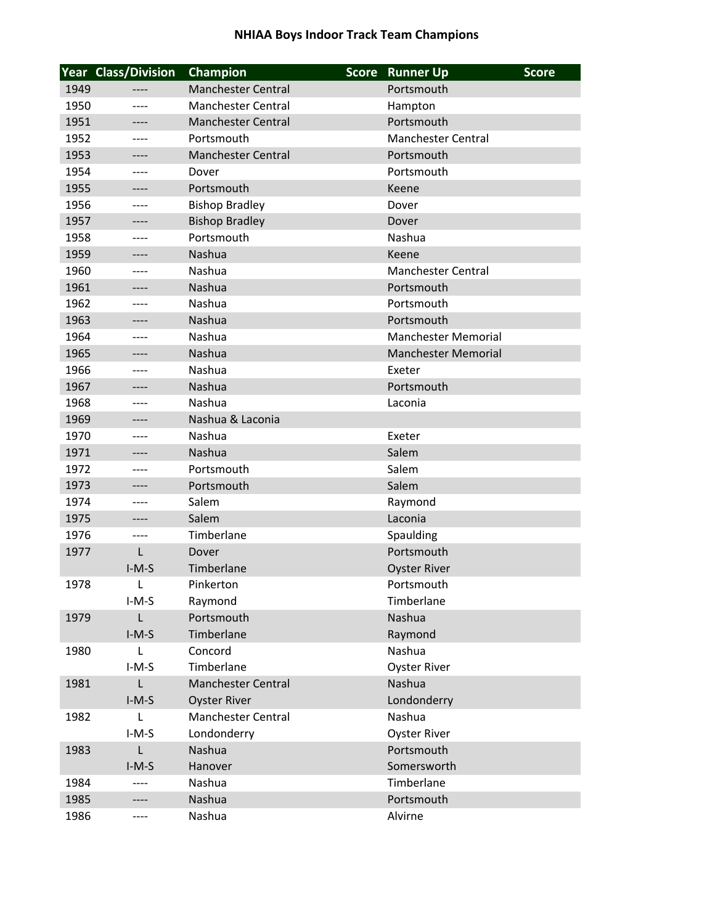## **NHIAA Boys Indoor Track Team Champions**

|      | <b>Year Class/Division</b> | Champion                  | <b>Score</b> | <b>Runner Up</b>           | <b>Score</b> |
|------|----------------------------|---------------------------|--------------|----------------------------|--------------|
| 1949 |                            | <b>Manchester Central</b> |              | Portsmouth                 |              |
| 1950 | ----                       | <b>Manchester Central</b> |              | Hampton                    |              |
| 1951 | ----                       | <b>Manchester Central</b> |              | Portsmouth                 |              |
| 1952 | ----                       | Portsmouth                |              | <b>Manchester Central</b>  |              |
| 1953 | ----                       | <b>Manchester Central</b> |              | Portsmouth                 |              |
| 1954 | ----                       | Dover                     |              | Portsmouth                 |              |
| 1955 | ----                       | Portsmouth                |              | Keene                      |              |
| 1956 | ----                       | <b>Bishop Bradley</b>     |              | Dover                      |              |
| 1957 | ----                       | <b>Bishop Bradley</b>     |              | Dover                      |              |
| 1958 |                            | Portsmouth                |              | Nashua                     |              |
| 1959 | ----                       | Nashua                    |              | Keene                      |              |
| 1960 | ----                       | Nashua                    |              | <b>Manchester Central</b>  |              |
| 1961 |                            | Nashua                    |              | Portsmouth                 |              |
| 1962 | ----                       | Nashua                    |              | Portsmouth                 |              |
| 1963 | ----                       | Nashua                    |              | Portsmouth                 |              |
| 1964 | ----                       | Nashua                    |              | <b>Manchester Memorial</b> |              |
| 1965 | ----                       | Nashua                    |              | <b>Manchester Memorial</b> |              |
| 1966 | ----                       | Nashua                    |              | Exeter                     |              |
| 1967 | ----                       | Nashua                    |              | Portsmouth                 |              |
| 1968 | ----                       | Nashua                    |              | Laconia                    |              |
| 1969 | ----                       | Nashua & Laconia          |              |                            |              |
| 1970 | ----                       | Nashua                    |              | Exeter                     |              |
| 1971 | ----                       | Nashua                    |              | Salem                      |              |
| 1972 | ----                       | Portsmouth                |              | Salem                      |              |
| 1973 | ----                       | Portsmouth                |              | Salem                      |              |
| 1974 | ----                       | Salem                     |              | Raymond                    |              |
| 1975 | ----                       | Salem                     |              | Laconia                    |              |
| 1976 | ----                       | Timberlane                |              | Spaulding                  |              |
| 1977 | L                          | Dover                     |              | Portsmouth                 |              |
|      | $I-M-S$                    | Timberlane                |              | <b>Oyster River</b>        |              |
| 1978 | L                          | Pinkerton                 |              | Portsmouth                 |              |
|      | $I-M-S$                    | Raymond                   |              | Timberlane                 |              |
| 1979 | $\mathsf L$                | Portsmouth                |              | Nashua                     |              |
|      | $I-M-S$                    | Timberlane                |              | Raymond                    |              |
| 1980 | L                          | Concord                   |              | Nashua                     |              |
|      | $I-M-S$                    | Timberlane                |              | <b>Oyster River</b>        |              |
| 1981 | $\mathsf{L}$               | <b>Manchester Central</b> |              | Nashua                     |              |
|      | $I-M-S$                    | <b>Oyster River</b>       |              | Londonderry                |              |
| 1982 | L                          | <b>Manchester Central</b> |              | Nashua                     |              |
|      | $I-M-S$                    | Londonderry               |              | <b>Oyster River</b>        |              |
| 1983 | $\mathsf{L}$               | Nashua                    |              | Portsmouth                 |              |
|      | $I-M-S$                    | Hanover                   |              | Somersworth                |              |
| 1984 | ----                       | Nashua                    |              | Timberlane                 |              |
| 1985 | ----                       | Nashua                    |              | Portsmouth                 |              |
| 1986 | ----                       | Nashua                    |              | Alvirne                    |              |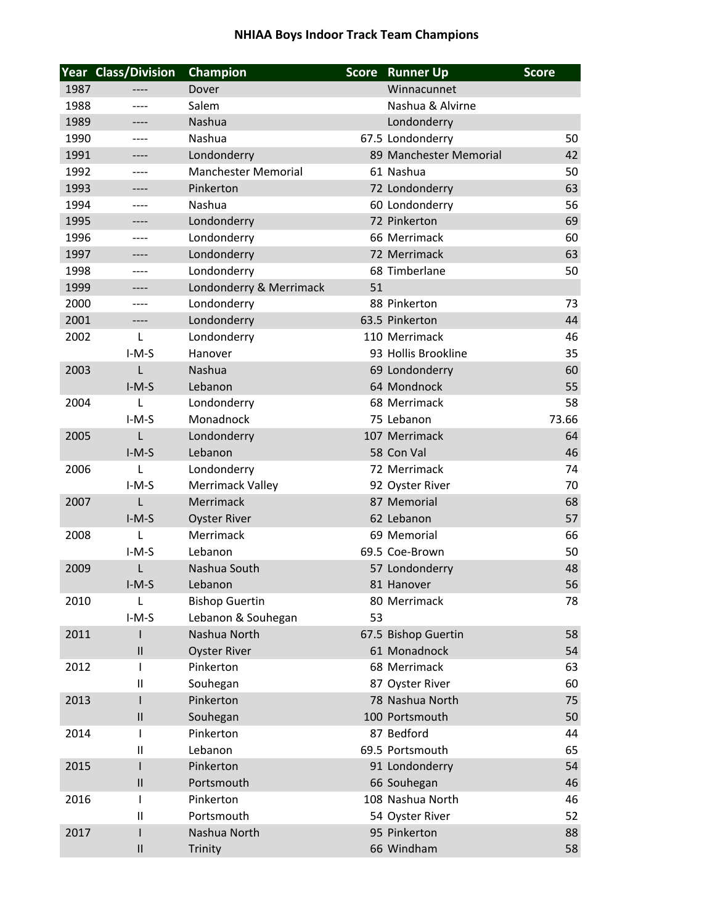## **NHIAA Boys Indoor Track Team Champions**

|      | Year Class/Division | <b>Champion</b>            | <b>Score</b> | <b>Runner Up</b>       | <b>Score</b> |
|------|---------------------|----------------------------|--------------|------------------------|--------------|
| 1987 |                     | Dover                      |              | Winnacunnet            |              |
| 1988 |                     | Salem                      |              | Nashua & Alvirne       |              |
| 1989 | ----                | Nashua                     |              | Londonderry            |              |
| 1990 |                     | Nashua                     |              | 67.5 Londonderry       | 50           |
| 1991 | ----                | Londonderry                |              | 89 Manchester Memorial | 42           |
| 1992 | ----                | <b>Manchester Memorial</b> |              | 61 Nashua              | 50           |
| 1993 | ----                | Pinkerton                  |              | 72 Londonderry         | 63           |
| 1994 | ----                | Nashua                     |              | 60 Londonderry         | 56           |
| 1995 | ----                | Londonderry                |              | 72 Pinkerton           | 69           |
| 1996 |                     | Londonderry                |              | 66 Merrimack           | 60           |
| 1997 | ----                | Londonderry                |              | 72 Merrimack           | 63           |
| 1998 | ----                | Londonderry                |              | 68 Timberlane          | 50           |
| 1999 |                     | Londonderry & Merrimack    | 51           |                        |              |
| 2000 | ----                | Londonderry                |              | 88 Pinkerton           | 73           |
| 2001 | ----                | Londonderry                |              | 63.5 Pinkerton         | 44           |
| 2002 | L                   | Londonderry                |              | 110 Merrimack          | 46           |
|      | $I-M-S$             | Hanover                    |              | 93 Hollis Brookline    | 35           |
| 2003 | L                   | <b>Nashua</b>              |              | 69 Londonderry         | 60           |
|      | $I-M-S$             | Lebanon                    |              | 64 Mondnock            | 55           |
| 2004 | L                   | Londonderry                |              | 68 Merrimack           | 58           |
|      | $I-M-S$             | Monadnock                  |              | 75 Lebanon             | 73.66        |
| 2005 | L                   | Londonderry                |              | 107 Merrimack          | 64           |
|      | $I-M-S$             | Lebanon                    |              | 58 Con Val             | 46           |
| 2006 | L                   | Londonderry                |              | 72 Merrimack           | 74           |
|      | $I-M-S$             | Merrimack Valley           |              | 92 Oyster River        | 70           |
| 2007 | L                   | Merrimack                  |              | 87 Memorial            | 68           |
|      | $I-M-S$             | <b>Oyster River</b>        |              | 62 Lebanon             | 57           |
| 2008 | L                   | Merrimack                  |              | 69 Memorial            | 66           |
|      | $I-M-S$             | Lebanon                    |              | 69.5 Coe-Brown         | 50           |
| 2009 | L                   | Nashua South               |              | 57 Londonderry         | 48           |
|      | $I-M-S$             | Lebanon                    |              | 81 Hanover             | 56           |
| 2010 | L                   | <b>Bishop Guertin</b>      |              | 80 Merrimack           | 78           |
|      | $I-M-S$             | Lebanon & Souhegan         | 53           |                        |              |
| 2011 |                     | Nashua North               |              | 67.5 Bishop Guertin    | 58           |
|      | $\mathbf{II}$       | <b>Oyster River</b>        |              | 61 Monadnock           | 54           |
| 2012 | I.                  | Pinkerton                  |              | 68 Merrimack           | 63           |
|      | $\mathbf{II}$       | Souhegan                   |              | 87 Oyster River        | 60           |
| 2013 | $\mathsf{I}$        | Pinkerton                  |              | 78 Nashua North        | 75           |
|      | $\mathbf{II}$       | Souhegan                   |              | 100 Portsmouth         | 50           |
| 2014 | T                   | Pinkerton                  |              | 87 Bedford             | 44           |
|      | $\mathbf{II}$       | Lebanon                    |              | 69.5 Portsmouth        | 65           |
| 2015 |                     | Pinkerton                  |              | 91 Londonderry         | 54           |
|      | $\mathbf{II}$       | Portsmouth                 |              | 66 Souhegan            | 46           |
| 2016 | $\mathsf{I}$        | Pinkerton                  |              | 108 Nashua North       | 46           |
|      | $\mathbf{H}$        | Portsmouth                 |              | 54 Oyster River        | 52           |
| 2017 | $\mathsf{I}$        | Nashua North               |              | 95 Pinkerton           | 88           |
|      | $\mathbf{I}$        | Trinity                    |              | 66 Windham             | 58           |